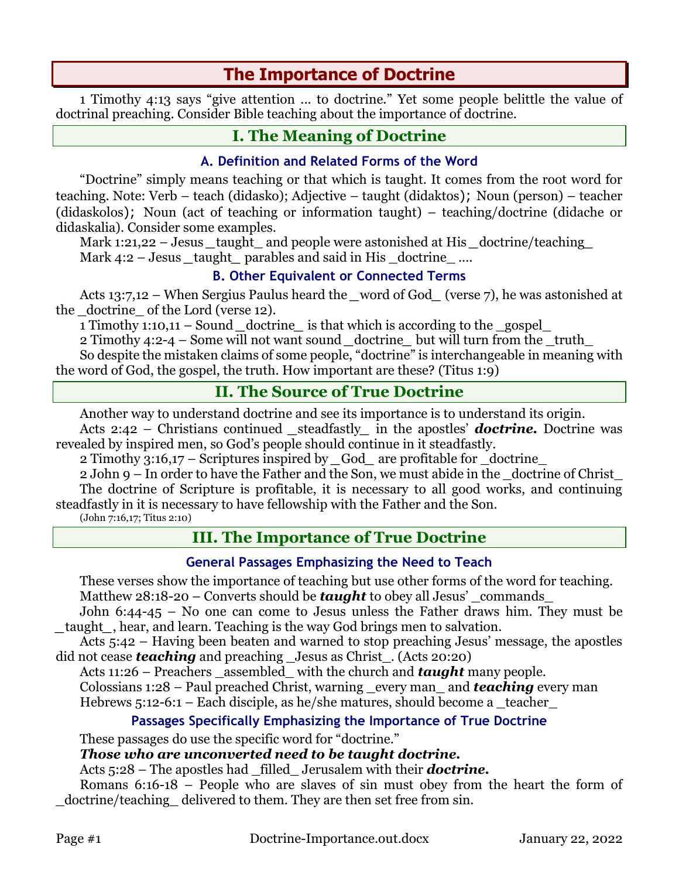# **The Importance of Doctrine**

1 Timothy 4:13 says "give attention ... to doctrine." Yet some people belittle the value of doctrinal preaching. Consider Bible teaching about the importance of doctrine.

## **I. The Meaning of Doctrine**

### **A. Definition and Related Forms of the Word**

"Doctrine" simply means teaching or that which is taught. It comes from the root word for teaching. Note: Verb – teach (didasko); Adjective – taught (didaktos); Noun (person) – teacher (didaskolos); Noun (act of teaching or information taught) – teaching/doctrine (didache or didaskalia). Consider some examples.

Mark 1:21,22 – Jesus \_taught\_ and people were astonished at His *doctrine/teaching* Mark 4:2 – Jesus taught parables and said in His doctrine ....

#### **B. Other Equivalent or Connected Terms**

Acts 13:7,12 – When Sergius Paulus heard the *word of God* (verse 7), he was astonished at the doctrine of the Lord (verse 12).

1 Timothy 1:10,11 – Sound *\_*doctrine*\_* is that which is according to the \_gospel\_

2 Timothy 4:2-4 – Some will not want sound *\_*doctrine*\_* but will turn from the \_truth\_ So despite the mistaken claims of some people, "doctrine" is interchangeable in meaning with the word of God, the gospel, the truth. How important are these? (Titus 1:9)

## **II. The Source of True Doctrine**

Another way to understand doctrine and see its importance is to understand its origin.

Acts 2:42 – Christians continued steadfastly in the apostles' *doctrine*. Doctrine was revealed by inspired men, so God's people should continue in it steadfastly.

2 Timothy 3:16,17 – Scriptures inspired by God are profitable for doctrine

2 John 9 – In order to have the Father and the Son, we must abide in the \_doctrine of Christ\_ The doctrine of Scripture is profitable, it is necessary to all good works, and continuing steadfastly in it is necessary to have fellowship with the Father and the Son.

(John 7:16,17; Titus 2:10)

## **III. The Importance of True Doctrine**

#### **General Passages Emphasizing the Need to Teach**

These verses show the importance of teaching but use other forms of the word for teaching. Matthew 28:18-20 – Converts should be *taught* to obey all Jesus' commands

John 6:44-45 – No one can come to Jesus unless the Father draws him. They must be *\_*taught*\_*, hear, and learn. Teaching is the way God brings men to salvation.

Acts 5:42 – Having been beaten and warned to stop preaching Jesus' message, the apostles did not cease *teaching* and preaching Jesus as Christ . (Acts 20:20)

Acts 11:26 – Preachers assembled with the church and *taught* many people.

Colossians 1:28 – Paul preached Christ, warning \_every man\_ and *teaching* every man Hebrews  $5:12-6:1$  – Each disciple, as he/she matures, should become a \_teacher

#### **Passages Specifically Emphasizing the Importance of True Doctrine**

These passages do use the specific word for "doctrine."

#### *Those who are unconverted need to be taught doctrine.*

Acts 5:28 – The apostles had \_filled\_ Jerusalem with their *doctrine.*

Romans 6:16-18 – People who are slaves of sin must obey from the heart the form of doctrine/teaching delivered to them. They are then set free from sin.